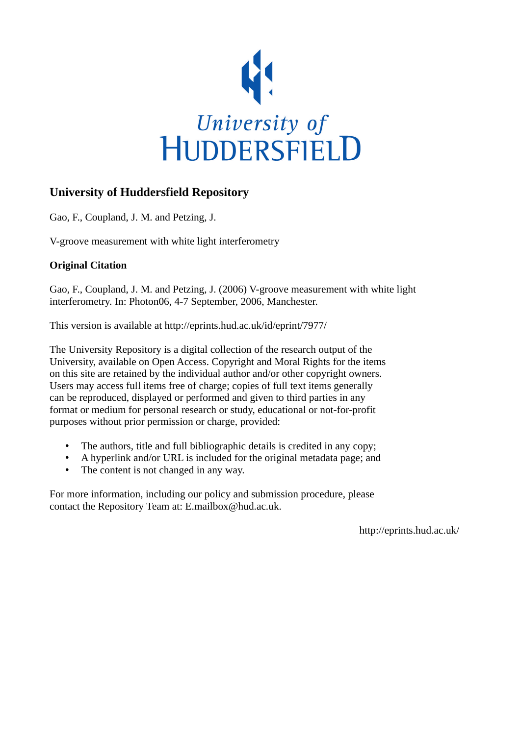

# **University of Huddersfield Repository**

Gao, F., Coupland, J. M. and Petzing, J.

V-groove measurement with white light interferometry

# **Original Citation**

Gao, F., Coupland, J. M. and Petzing, J. (2006) V-groove measurement with white light interferometry. In: Photon06, 4-7 September, 2006, Manchester.

This version is available at http://eprints.hud.ac.uk/id/eprint/7977/

The University Repository is a digital collection of the research output of the University, available on Open Access. Copyright and Moral Rights for the items on this site are retained by the individual author and/or other copyright owners. Users may access full items free of charge; copies of full text items generally can be reproduced, displayed or performed and given to third parties in any format or medium for personal research or study, educational or not-for-profit purposes without prior permission or charge, provided:

- The authors, title and full bibliographic details is credited in any copy;
- A hyperlink and/or URL is included for the original metadata page; and
- The content is not changed in any way.

For more information, including our policy and submission procedure, please contact the Repository Team at: E.mailbox@hud.ac.uk.

http://eprints.hud.ac.uk/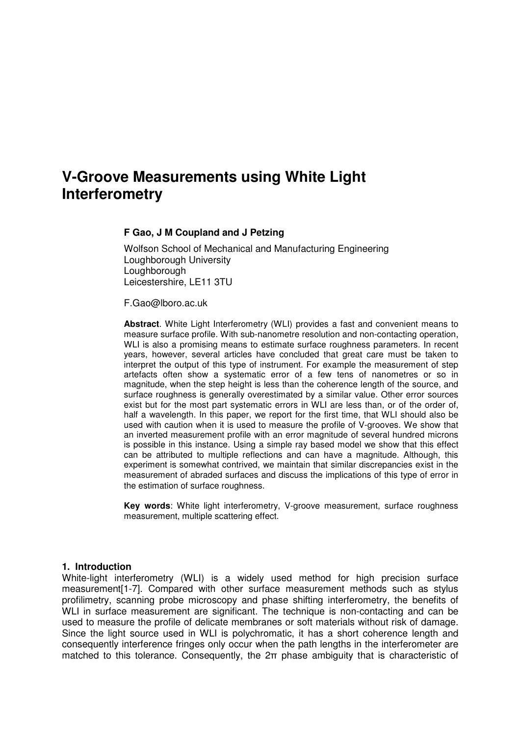# **V-Groove Measurements using White Light Interferometry**

# **F Gao, J M Coupland and J Petzing**

Wolfson School of Mechanical and Manufacturing Engineering Loughborough University Loughborough Leicestershire, LE11 3TU

F.Gao@lboro.ac.uk

**Abstract**. White Light Interferometry (WLI) provides a fast and convenient means to measure surface profile. With sub-nanometre resolution and non-contacting operation, WLI is also a promising means to estimate surface roughness parameters. In recent years, however, several articles have concluded that great care must be taken to interpret the output of this type of instrument. For example the measurement of step artefacts often show a systematic error of a few tens of nanometres or so in magnitude, when the step height is less than the coherence length of the source, and surface roughness is generally overestimated by a similar value. Other error sources exist but for the most part systematic errors in WLI are less than, or of the order of, half a wavelength. In this paper, we report for the first time, that WLI should also be used with caution when it is used to measure the profile of V-grooves. We show that an inverted measurement profile with an error magnitude of several hundred microns is possible in this instance. Using a simple ray based model we show that this effect can be attributed to multiple reflections and can have a magnitude. Although, this experiment is somewhat contrived, we maintain that similar discrepancies exist in the measurement of abraded surfaces and discuss the implications of this type of error in the estimation of surface roughness.

**Key words**: White light interferometry, V-groove measurement, surface roughness measurement, multiple scattering effect.

#### **1. Introduction**

White-light interferometry (WLI) is a widely used method for high precision surface measurement[1-7]. Compared with other surface measurement methods such as stylus profilimetry, scanning probe microscopy and phase shifting interferometry, the benefits of WLI in surface measurement are significant. The technique is non-contacting and can be used to measure the profile of delicate membranes or soft materials without risk of damage. Since the light source used in WLI is polychromatic, it has a short coherence length and consequently interference fringes only occur when the path lengths in the interferometer are matched to this tolerance. Consequently, the 2π phase ambiguity that is characteristic of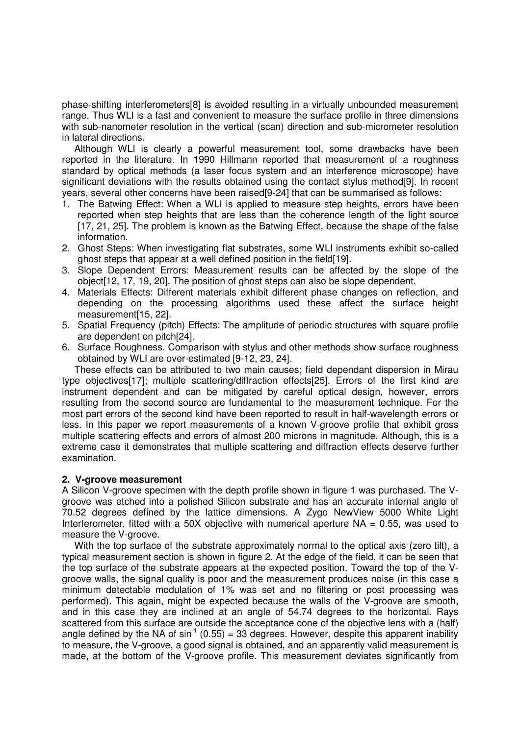phase-shifting interferometers[8] is avoided resulting in a virtually unbounded measurement range. Thus WLI is a fast and convenient to measure the surface profile in three dimensions with sub-nanometer resolution in the vertical (scan) direction and sub-micrometer resolution in lateral directions.

Although WLI is clearly a powerful measurement tool, some drawbacks have been reported in the literature. In 1990 Hillmann reported that measurement of a roughness standard by optical methods (a laser focus system and an interference microscope) have significant deviations with the results obtained using the contact stylus method[9]. In recent years, several other concerns have been raised[9-24] that can be summarised as follows:

- 1. The Batwing Effect: When a WLI is applied to measure step heights, errors have been reported when step heights that are less than the coherence length of the light source [17, 21, 25]. The problem is known as the Batwing Effect, because the shape of the false information.
- 2. Ghost Steps: When investigating flat substrates, some WLI instruments exhibit so-called ghost steps that appear at a well defined position in the field[19].
- 3. Slope Dependent Errors: Measurement results can be affected by the slope of the object[12, 17, 19, 20]. The position of ghost steps can also be slope dependent.
- 4. Materials Effects: Different materials exhibit different phase changes on reflection, and depending on the processing algorithms used these affect the surface height measurement[15, 22].
- 5. Spatial Frequency (pitch) Effects: The amplitude of periodic structures with square profile are dependent on pitch[24].
- 6. Surface Roughness. Comparison with stylus and other methods show surface roughness obtained by WLI are over-estimated [9-12, 23, 24].

These effects can be attributed to two main causes; field dependant dispersion in Mirau type objectives[17]; multiple scattering/diffraction effects[25]. Errors of the first kind are instrument dependent and can be mitigated by careful optical design, however, errors resulting from the second source are fundamental to the measurement technique. For the most part errors of the second kind have been reported to result in half-wavelength errors or less. In this paper we report measurements of a known V-groove profile that exhibit gross multiple scattering effects and errors of almost 200 microns in magnitude. Although, this is a extreme case it demonstrates that multiple scattering and diffraction effects deserve further examination.

#### **2. V-groove measurement**

A Silicon V-groove specimen with the depth profile shown in figure 1 was purchased. The Vgroove was etched into a polished Silicon substrate and has an accurate internal angle of 70.52 degrees defined by the lattice dimensions. A Zygo NewView 5000 White Light Interferometer, fitted with a 50X objective with numerical aperture  $NA = 0.55$ , was used to measure the V-groove.

With the top surface of the substrate approximately normal to the optical axis (zero tilt), a typical measurement section is shown in figure 2. At the edge of the field, it can be seen that the top surface of the substrate appears at the expected position. Toward the top of the Vgroove walls, the signal quality is poor and the measurement produces noise (in this case a minimum detectable modulation of 1% was set and no filtering or post processing was performed). This again, might be expected because the walls of the V-groove are smooth, and in this case they are inclined at an angle of 54.74 degrees to the horizontal. Rays scattered from this surface are outside the acceptance cone of the objective lens with a (half) angle defined by the NA of  $sin^{-1}$  (0.55) = 33 degrees. However, despite this apparent inability to measure, the V-groove, a good signal is obtained, and an apparently valid measurement is made, at the bottom of the V-groove profile. This measurement deviates significantly from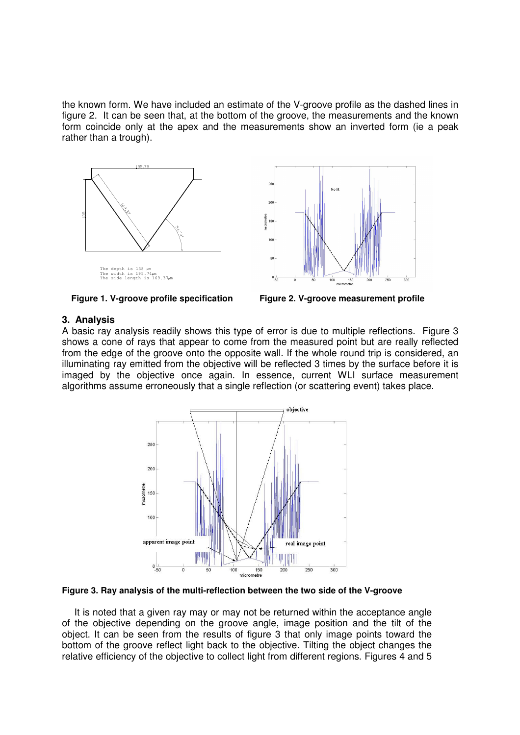the known form. We have included an estimate of the V-groove profile as the dashed lines in figure 2. It can be seen that, at the bottom of the groove, the measurements and the known form coincide only at the apex and the measurements show an inverted form (ie a peak rather than a trough).







#### **3. Analysis**

A basic ray analysis readily shows this type of error is due to multiple reflections. Figure 3 shows a cone of rays that appear to come from the measured point but are really reflected from the edge of the groove onto the opposite wall. If the whole round trip is considered, an illuminating ray emitted from the objective will be reflected 3 times by the surface before it is imaged by the objective once again. In essence, current WLI surface measurement algorithms assume erroneously that a single reflection (or scattering event) takes place.





It is noted that a given ray may or may not be returned within the acceptance angle of the objective depending on the groove angle, image position and the tilt of the object. It can be seen from the results of figure 3 that only image points toward the bottom of the groove reflect light back to the objective. Tilting the object changes the relative efficiency of the objective to collect light from different regions. Figures 4 and 5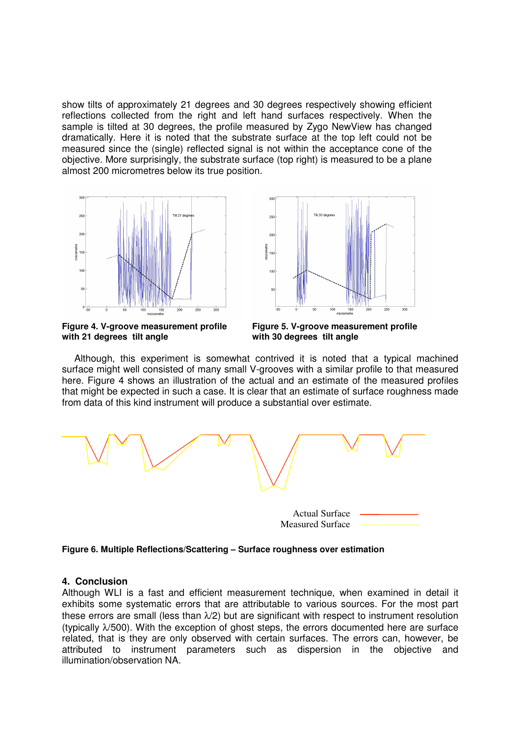show tilts of approximately 21 degrees and 30 degrees respectively showing efficient reflections collected from the right and left hand surfaces respectively. When the sample is tilted at 30 degrees, the profile measured by Zygo NewView has changed dramatically. Here it is noted that the substrate surface at the top left could not be measured since the (single) reflected signal is not within the acceptance cone of the objective. More surprisingly, the substrate surface (top right) is measured to be a plane almost 200 micrometres below its true position.





**Figure 4. V-groove measurement profile with 21 degrees tilt angle**

**Figure 5. V-groove measurement profile with 30 degrees tilt angle**

Although, this experiment is somewhat contrived it is noted that a typical machined surface might well consisted of many small V-grooves with a similar profile to that measured here. Figure 4 shows an illustration of the actual and an estimate of the measured profiles that might be expected in such a case. It is clear that an estimate of surface roughness made from data of this kind instrument will produce a substantial over estimate.



**Figure 6. Multiple Reflections/Scattering – Surface roughness over estimation**

# **4. Conclusion**

Although WLI is a fast and efficient measurement technique, when examined in detail it exhibits some systematic errors that are attributable to various sources. For the most part these errors are small (less than  $\lambda$ /2) but are significant with respect to instrument resolution (typically  $\lambda$ /500). With the exception of ghost steps, the errors documented here are surface related, that is they are only observed with certain surfaces. The errors can, however, be attributed to instrument parameters such as dispersion in the objective and illumination/observation NA.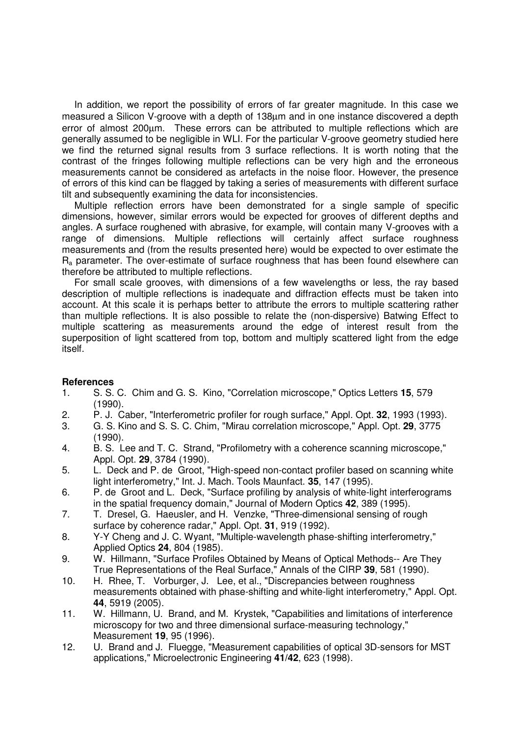In addition, we report the possibility of errors of far greater magnitude. In this case we measured a Silicon V-groove with a depth of 138µm and in one instance discovered a depth error of almost 200µm. These errors can be attributed to multiple reflections which are generally assumed to be negligible in WLI. For the particular V-groove geometry studied here we find the returned signal results from 3 surface reflections. It is worth noting that the contrast of the fringes following multiple reflections can be very high and the erroneous measurements cannot be considered as artefacts in the noise floor. However, the presence of errors of this kind can be flagged by taking a series of measurements with different surface tilt and subsequently examining the data for inconsistencies.

Multiple reflection errors have been demonstrated for a single sample of specific dimensions, however, similar errors would be expected for grooves of different depths and angles. A surface roughened with abrasive, for example, will contain many V-grooves with a range of dimensions. Multiple reflections will certainly affect surface roughness measurements and (from the results presented here) would be expected to over estimate the  $R<sub>a</sub>$  parameter. The over-estimate of surface roughness that has been found elsewhere can therefore be attributed to multiple reflections.

For small scale grooves, with dimensions of a few wavelengths or less, the ray based description of multiple reflections is inadequate and diffraction effects must be taken into account. At this scale it is perhaps better to attribute the errors to multiple scattering rather than multiple reflections. It is also possible to relate the (non-dispersive) Batwing Effect to multiple scattering as measurements around the edge of interest result from the superposition of light scattered from top, bottom and multiply scattered light from the edge itself.

# **References**

- 1. S. S. C. Chim and G. S. Kino, "Correlation microscope," Optics Letters **15**, 579 (1990).
- 2. P. J. Caber, "Interferometric profiler for rough surface," Appl. Opt. **32**, 1993 (1993).
- 3. G. S. Kino and S. S. C. Chim, "Mirau correlation microscope," Appl. Opt. **29**, 3775 (1990).
- 4. B. S. Lee and T. C. Strand, "Profilometry with a coherence scanning microscope," Appl. Opt. **29**, 3784 (1990).
- 5. L. Deck and P. de Groot, "High-speed non-contact profiler based on scanning white light interferometry," Int. J. Mach. Tools Maunfact. **35**, 147 (1995).
- 6. P. de Groot and L. Deck, "Surface profiling by analysis of white-light interferograms in the spatial frequency domain," Journal of Modern Optics **42**, 389 (1995).
- 7. T. Dresel, G. Haeusler, and H. Venzke, "Three-dimensional sensing of rough surface by coherence radar," Appl. Opt. **31**, 919 (1992).
- 8. Y-Y Cheng and J. C. Wyant, "Multiple-wavelength phase-shifting interferometry," Applied Optics **24**, 804 (1985).
- 9. W. Hillmann, "Surface Profiles Obtained by Means of Optical Methods-- Are They True Representations of the Real Surface," Annals of the CIRP **39**, 581 (1990).
- 10. H. Rhee, T. Vorburger, J. Lee, et al., "Discrepancies between roughness measurements obtained with phase-shifting and white-light interferometry," Appl. Opt. **44**, 5919 (2005).
- 11. W. Hillmann, U. Brand, and M. Krystek, "Capabilities and limitations of interference microscopy for two and three dimensional surface-measuring technology," Measurement **19**, 95 (1996).
- 12. U. Brand and J. Fluegge, "Measurement capabilities of optical 3D-sensors for MST applications," Microelectronic Engineering **41/42**, 623 (1998).